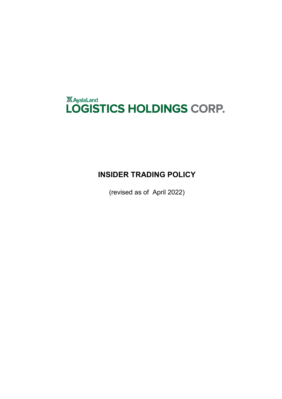# *XAyalaLand*<br>LOGISTICS HOLDINGS CORP.

# **INSIDER TRADING POLICY**

(revised as of April 2022)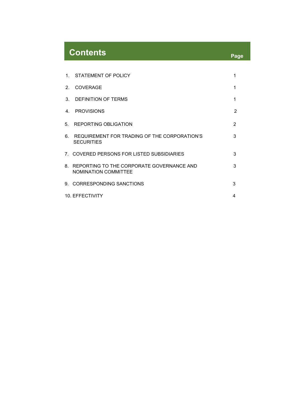# **Contents Page**

|                        | 1. STATEMENT OF POLICY                                                      | 1              |
|------------------------|-----------------------------------------------------------------------------|----------------|
| 2 <sub>1</sub>         | <b>COVERAGE</b>                                                             | 1              |
|                        | 3. DEFINITION OF TERMS                                                      | 1              |
| $4_{-}$                | <b>PROVISIONS</b>                                                           | $\overline{2}$ |
|                        | 5. REPORTING OBLIGATION                                                     | $\overline{2}$ |
|                        | 6. REQUIREMENT FOR TRADING OF THE CORPORATION'S<br><b>SECURITIES</b>        | 3              |
|                        | 7. COVERED PERSONS FOR LISTED SUBSIDIARIES                                  | 3              |
|                        | 8. REPORTING TO THE CORPORATE GOVERNANCE AND<br><b>NOMINATION COMMITTEE</b> | 3              |
|                        | 9. CORRESPONDING SANCTIONS                                                  | 3              |
| <b>10. EFFECTIVITY</b> |                                                                             |                |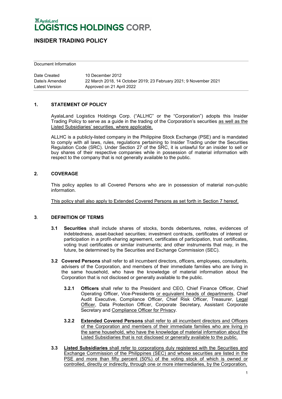# **INSIDER TRADING POLICY**

Document Information

| Date Created   | 10 December 2012                                                  |
|----------------|-------------------------------------------------------------------|
| Date/s Amended | 22 March 2018, 14 October 2019; 23 February 2021; 9 November 2021 |
| Latest Version | Approved on 21 April 2022                                         |

#### **1. STATEMENT OF POLICY**

AyalaLand Logistics Holdings Corp. ("ALLHC" or the "Corporation") adopts this Insider Trading Policy to serve as a guide in the trading of the Corporation's securities as well as the Listed Subsidiaries' securities, where applicable.

ALLHC is a publicly-listed company in the Philippine Stock Exchange (PSE) and is mandated to comply with all laws, rules, regulations pertaining to Insider Trading under the Securities Regulation Code (SRC). Under Section 27 of the SRC, it is unlawful for an insider to sell or buy shares of their respective companies while in possession of material information with respect to the company that is not generally available to the public.

#### **2. COVERAGE**

This policy applies to all Covered Persons who are in possession of material non-public information.

This policy shall also apply to Extended Covered Persons as set forth in Section 7 hereof.

#### **3**. **DEFINITION OF TERMS**

- **3.1 Securities** shall include shares of stocks, bonds debentures, notes, evidences of indebtedness, asset-backed securities; investment contracts, certificates of interest or participation in a profit-sharing agreement, certificates of participation, trust certificates, voting trust certificates or similar instruments; and other instruments that may, in the future, be determined by the Securities and Exchange Commission (SEC).
- **3.2 Covered Persons** shall refer to all incumbent directors, officers, employees, consultants, advisers of the Corporation, and members of their immediate families who are living in the same household, who have the knowledge of material information about the Corporation that is not disclosed or generally available to the public.
	- **3.2.1 Officers** shall refer to the President and CEO, Chief Finance Officer, Chief Operating Officer, Vice-Presidents or equivalent heads of departments, Chief Audit Executive, Compliance Officer, Chief Risk Officer, Treasurer, Legal Officer, Data Protection Officer, Corporate Secretary, Assistant Corporate Secretary and Compliance Officer for Privacy.
	- **3.2.2 Extended Covered Persons** shall refer to all incumbent directors and Officers of the Corporation and members of their immediate families who are living in the same household, who have the knowledge of material information about the Listed Subsidiaries that is not disclosed or generally available to the public.
- **3.3 Listed Subsidiaries** shall refer to corporations duly registered with the Securities and Exchange Commission of the Philippines (SEC) and whose securities are listed in the PSE and more than fifty percent (50%) of the voting stock of which is owned or controlled, directly or indirectly, through one or more intermediaries, by the Corporation,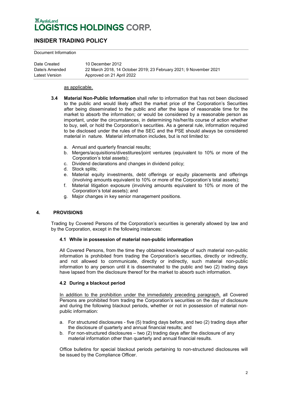## **INSIDER TRADING POLICY**

#### Document Information

| Date Created   | 10 December 2012                                                  |
|----------------|-------------------------------------------------------------------|
| Date/s Amended | 22 March 2018, 14 October 2019; 23 February 2021; 9 November 2021 |
| Latest Version | Approved on 21 April 2022                                         |

#### as applicable.

- **3.4 Material Non-Public Information** shall refer to information that has not been disclosed to the public and would likely affect the market price of the Corporation's Securities after being disseminated to the public and after the lapse of reasonable time for the market to absorb the information; or would be considered by a reasonable person as important, under the circumstances, in determining his/her/its course of action whether to buy, sell, or hold the Corporation's securities. As a general rule, information required to be disclosed under the rules of the SEC and the PSE should always be considered material in nature. Material information includes, but is not limited to:
	- a. Annual and quarterly financial results;
	- b. Mergers/acquisitions/divestitures/joint ventures (equivalent to 10% or more of the Corporation's total assets);
	- c. Dividend declarations and changes in dividend policy;
	- d. Stock splits;
	- e. Material equity investments, debt offerings or equity placements and offerings (involving amounts equivalent to 10% or more of the Corporation's total assets);
	- f. Material litigation exposure (involving amounts equivalent to 10% or more of the Corporation's total assets); and
	- g. Major changes in key senior management positions.

#### **4. PROVISIONS**

Trading by Covered Persons of the Corporation's securities is generally allowed by law and by the Corporation, except in the following instances:

#### **4.1 While in possession of material non-public information**

All Covered Persons, from the time they obtained knowledge of such material non-public information is prohibited from trading the Corporation's securities, directly or indirectly, and not allowed to communicate, directly or indirectly, such material non-public information to any person until it is disseminated to the public and two (2) trading days have lapsed from the disclosure thereof for the market to absorb such information.

#### **4.2 During a blackout period**

In addition to the prohibition under the immediately preceding paragraph, all Covered Persons are prohibited from trading the Corporation's securities on the day of disclosure and during the following blackout periods, whether or not in possession of material nonpublic information:

- a. For structured disclosures five (5) trading days before, and two (2) trading days after the disclosure of quarterly and annual financial results; and
- b. For non-structured disclosures two (2) trading days after the disclosure of any material information other than quarterly and annual financial results.

Office bulletins for special blackout periods pertaining to non-structured disclosures will be issued by the Compliance Officer.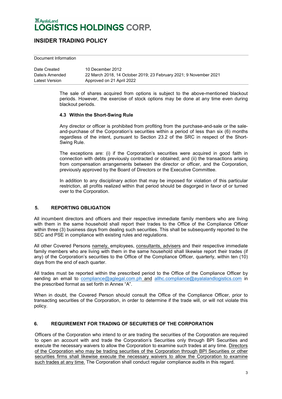### **INSIDER TRADING POLICY**

Document Information

| Date Created   | 10 December 2012                                                  |
|----------------|-------------------------------------------------------------------|
| Date/s Amended | 22 March 2018, 14 October 2019; 23 February 2021; 9 November 2021 |
| Latest Version | Approved on 21 April 2022                                         |

The sale of shares acquired from options is subject to the above-mentioned blackout periods. However, the exercise of stock options may be done at any time even during blackout periods.

#### **4.3 Within the Short-Swing Rule**

Any director or officer is prohibited from profiting from the purchase-and-sale or the saleand-purchase of the Corporation's securities within a period of less than six (6) months regardless of the intent, pursuant to Section 23.2 of the SRC in respect of the Short-Swing Rule.

The exceptions are: (i) if the Corporation's securities were acquired in good faith in connection with debts previously contracted or obtained; and (ii) the transactions arising from compensation arrangements between the director or officer, and the Corporation, previously approved by the Board of Directors or the Executive Committee.

In addition to any disciplinary action that may be imposed for violation of this particular restriction, all profits realized within that period should be disgorged in favor of or turned over to the Corporation.

#### **5. REPORTING OBLIGATION**

All incumbent directors and officers and their respective immediate family members who are living with them in the same household shall report their trades to the Office of the Compliance Officer within three (3) business days from dealing such securities. This shall be subsequently reported to the SEC and PSE in compliance with existing rules and regulations.

All other Covered Persons namely, employees, consultants, advisers and their respective immediate family members who are living with them in the same household shall likewise report their trades (if any) of the Corporation's securities to the Office of the Compliance Officer, quarterly, within ten (10) days from the end of each quarter.

All trades must be reported within the prescribed period to the Office of the Compliance Officer by sending an email to [compliance@aglegal.com.ph](mailto:compliance@aglegal.com.ph) and [allhc.compliance@ayalalandlogistics.com](mailto:allhc.compliance@ayalalandlogistics.com) in the prescribed format as set forth in Annex "A".

When in doubt, the Covered Person should consult the Office of the Compliance Officer, prior to transacting securities of the Corporation, in order to determine if the trade will, or will not violate this policy.

#### **6. REQUIREMENT FOR TRADING OF SECURITIES OF THE CORPORATION**

Officers of the Corporation who intend to or are trading the securities of the Corporation are required to open an account with and trade the Corporation's Securities only through BPI Securities and execute the necessary waivers to allow the Corporation to examine such trades at any time. Directors of the Corporation who may be trading securities of the Corporation through BPI Securities or other securities firms shall likewise execute the necessary waivers to allow the Corporation to examine such trades at any time. The Corporation shall conduct regular compliance audits in this regard.